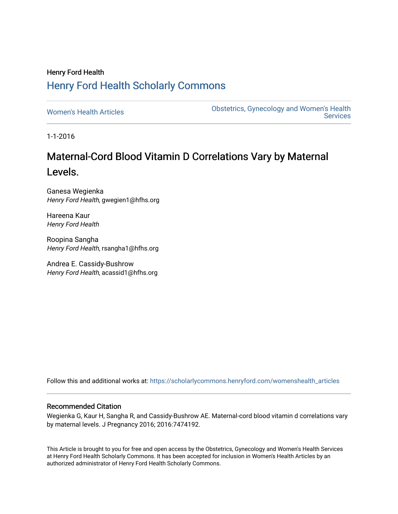## Henry Ford Health [Henry Ford Health Scholarly Commons](https://scholarlycommons.henryford.com/)

[Women's Health Articles](https://scholarlycommons.henryford.com/womenshealth_articles) **Constructed Articles** Obstetrics, Gynecology and Women's Health [Services](https://scholarlycommons.henryford.com/womenshealth) 

1-1-2016

# Maternal-Cord Blood Vitamin D Correlations Vary by Maternal Levels.

Ganesa Wegienka Henry Ford Health, gwegien1@hfhs.org

Hareena Kaur Henry Ford Health

Roopina Sangha Henry Ford Health, rsangha1@hfhs.org

Andrea E. Cassidy-Bushrow Henry Ford Health, acassid1@hfhs.org

Follow this and additional works at: [https://scholarlycommons.henryford.com/womenshealth\\_articles](https://scholarlycommons.henryford.com/womenshealth_articles?utm_source=scholarlycommons.henryford.com%2Fwomenshealth_articles%2F62&utm_medium=PDF&utm_campaign=PDFCoverPages) 

### Recommended Citation

Wegienka G, Kaur H, Sangha R, and Cassidy-Bushrow AE. Maternal-cord blood vitamin d correlations vary by maternal levels. J Pregnancy 2016; 2016:7474192.

This Article is brought to you for free and open access by the Obstetrics, Gynecology and Women's Health Services at Henry Ford Health Scholarly Commons. It has been accepted for inclusion in Women's Health Articles by an authorized administrator of Henry Ford Health Scholarly Commons.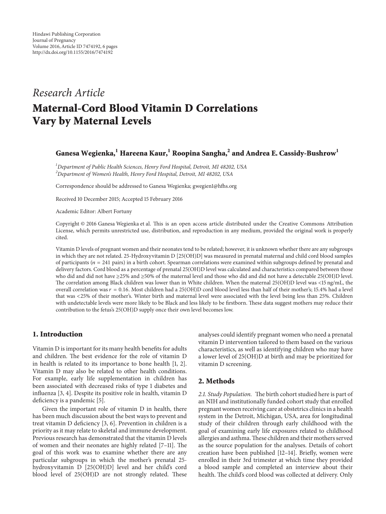## *Research Article* **Maternal-Cord Blood Vitamin D Correlations Vary by Maternal Levels**

### **Ganesa Wegienka,<sup>1</sup> Hareena Kaur,1 Roopina Sangha,2 and Andrea E. Cassidy-Bushrow<sup>1</sup>**

*1 Department of Public Health Sciences, Henry Ford Hospital, Detroit, MI 48202, USA 2 Department of Women's Health, Henry Ford Hospital, Detroit, MI 48202, USA*

Correspondence should be addressed to Ganesa Wegienka; gwegien1@hfhs.org

Received 10 December 2015; Accepted 15 February 2016

Academic Editor: Albert Fortuny

Copyright © 2016 Ganesa Wegienka et al. This is an open access article distributed under the Creative Commons Attribution License, which permits unrestricted use, distribution, and reproduction in any medium, provided the original work is properly cited.

Vitamin D levels of pregnant women and their neonates tend to be related; however, it is unknown whether there are any subgroups in which they are not related. 25-Hydroxyvitamin D [25(OH)D] was measured in prenatal maternal and child cord blood samples of participants ( $n = 241$  pairs) in a birth cohort. Spearman correlations were examined within subgroups defined by prenatal and delivery factors. Cord blood as a percentage of prenatal 25(OH)D level was calculated and characteristics compared between those who did and did not have ≥25% and ≥50% of the maternal level and those who did and did not have a detectable 25(OH)D level. The correlation among Black children was lower than in White children. When the maternal 25(OH)D level was <15 ng/mL, the overall correlation was  $r = 0.16$ . Most children had a 25(OH)D cord blood level less than half of their mother's; 15.4% had a level that was <25% of their mother's. Winter birth and maternal level were associated with the level being less than 25%. Children with undetectable levels were more likely to be Black and less likely to be firstborn. These data suggest mothers may reduce their contribution to the fetus's 25(OH)D supply once their own level becomes low.

#### **1. Introduction**

Vitamin D is important for its many health benefits for adults and children. The best evidence for the role of vitamin D in health is related to its importance to bone health [1, 2]. Vitamin D may also be related to other health conditions. For example, early life supplementation in children has been associated with decreased risks of type 1 diabetes and influenza [3, 4]. Despite its positive role in health, vitamin D deficiency is a pandemic [5].

Given the important role of vitamin D in health, there has been much discussion about the best ways to prevent and treat vitamin D deficiency [3, 6]. Prevention in children is a priority as it may relate to skeletal and immune development. Previous research has demonstrated that the vitamin D levels of women and their neonates are highly related [7–11]. The goal of this work was to examine whether there are any particular subgroups in which the mother's prenatal 25 hydroxyvitamin D [25(OH)D] level and her child's cord blood level of 25(OH)D are not strongly related. These

analyses could identify pregnant women who need a prenatal vitamin D intervention tailored to them based on the various characteristics, as well as identifying children who may have a lower level of 25(OH)D at birth and may be prioritized for vitamin D screening.

#### **2. Methods**

*2.1. Study Population.* The birth cohort studied here is part of an NIH and institutionally funded cohort study that enrolled pregnant women receiving care at obstetrics clinics in a health system in the Detroit, Michigan, USA, area for longitudinal study of their children through early childhood with the goal of examining early life exposures related to childhood allergies and asthma.These children and their mothers served as the source population for the analyses. Details of cohort creation have been published [12–14]. Briefly, women were enrolled in their 3rd trimester at which time they provided a blood sample and completed an interview about their health. The child's cord blood was collected at delivery. Only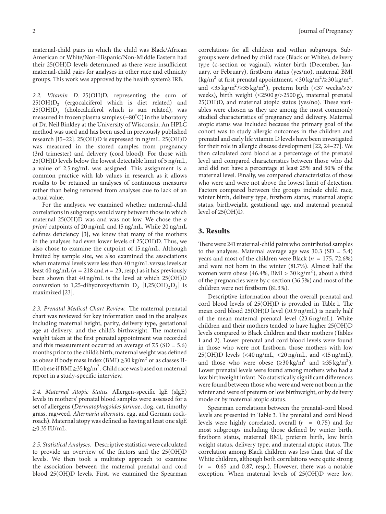maternal-child pairs in which the child was Black/African American or White/Non-Hispanic/Non-Middle Eastern had their 25(OH)D levels determined as there were insufficient maternal-child pairs for analyses in other race and ethnicity groups. This work was approved by the health system's IRB.

*2.2. Vitamin D.* 25(OH)D, representing the sum of  $25(OH)D<sub>2</sub>$  (ergocalciferol which is diet related) and  $25(OH)D_3$  (cholecalciferol which is sun related), was measured in frozen plasma samples (−80<sup>∘</sup> C) in the laboratory of Dr. Neil Binkley at the University of Wisconsin. An HPLC method was used and has been used in previously published research [15–22]. 25(OH)D is expressed in ng/mL. 25(OH)D was measured in the stored samples from pregnancy (3rd trimester) and delivery (cord blood). For those with 25(OH)D levels below the lowest detectable limit of 5 ng/mL, a value of 2.5 ng/mL was assigned. This assignment is a common practice with lab values in research as it allows results to be retained in analyses of continuous measures rather than being removed from analyses due to lack of an actual value.

For the analyses, we examined whether maternal-child correlations in subgroups would vary between those in which maternal 25(OH)D was and was not low. We chose the *a priori* cutpoints of 20 ng/mL and 15 ng/mL. While 20 ng/mL defines deficiency [3], we knew that many of the mothers in the analyses had even lower levels of 25(OH)D. Thus, we also chose to examine the cutpoint of 15 ng/mL. Although limited by sample size, we also examined the associations when maternal levels were less than 40 ng/mL versus levels at least 40 ng/mL ( $n = 218$  and  $n = 23$ , resp.) as it has previously been shown that 40 ng/mL is the level at which 25(OH)D conversion to 1,25-dihydroxyvitamin  $D_3$  [1,25(OH)<sub>2</sub>D<sub>3</sub>] is maximized [23].

*2.3. Prenatal Medical Chart Review.* The maternal prenatal chart was reviewed for key information used in the analyses including maternal height, parity, delivery type, gestational age at delivery, and the child's birthweight. The maternal weight taken at the first prenatal appointment was recorded and this measurement occurred an average of  $7.5$  (SD =  $5.6$ ) months prior to the child's birth; maternal weight was defined as obese if body mass index (BMI)  $\geq$ 30 kg/m<sup>2</sup> or as classes II-III obese if BMI ≥35 kg/m<sup>2</sup>. Child race was based on maternal report in a study-specific interview.

*2.4. Maternal Atopic Status.* Allergen-specific IgE (sIgE) levels in mothers' prenatal blood samples were assessed for a set of allergens (*Dermatophagoides farinae*, dog, cat, timothy grass, ragweed, *Alternaria alternata*, egg, and German cockroach). Maternal atopy was defined as having at least one sIgE  $≥0.35$  IU/mL.

*2.5. Statistical Analyses.* Descriptive statistics were calculated to provide an overview of the factors and the 25(OH)D levels. We then took a multistep approach to examine the association between the maternal prenatal and cord blood 25(OH)D levels. First, we examined the Spearman correlations for all children and within subgroups. Subgroups were defined by child race (Black or White), delivery type (c-section or vaginal), winter birth (December, January, or February), firstborn status (yes/no), maternal BMI (kg/m<sup>2</sup> at first prenatal appointment, <30 kg/m<sup>2</sup>/≥30 kg/m<sup>2</sup>, and <35 kg/m<sup>2</sup>/ $\ge$ 35 kg/m<sup>2</sup>), preterm birth (<37 weeks/ $\ge$ 37 weeks), birth weight (≤2500 g/>2500 g), maternal prenatal 25(OH)D, and maternal atopic status (yes/no). These variables were chosen as they are among the most commonly studied characteristics of pregnancy and delivery. Maternal atopic status was included because the primary goal of the cohort was to study allergic outcomes in the children and prenatal and early life vitamin D levels have been investigated for their role in allergic disease development [22, 24–27]. We then calculated cord blood as a percentage of the prenatal level and compared characteristics between those who did and did not have a percentage at least 25% and 50% of the maternal level. Finally, we compared characteristics of those who were and were not above the lowest limit of detection. Factors compared between the groups include child race, winter birth, delivery type, firstborn status, maternal atopic status, birthweight, gestational age, and maternal prenatal level of 25(OH)D.

#### **3. Results**

There were 241 maternal-child pairs who contributed samples to the analyses. Maternal average age was  $30.3$  (SD =  $5.4$ ) years and most of the children were Black ( $n = 175, 72.6\%$ ) and were not born in the winter (81.7%). Almost half the women were obese (46.4%, BMI >  $30 \text{ kg/m}^2$ ), about a third of the pregnancies were by c-section (36.5%) and most of the children were not firstborn (81.3%).

Descriptive information about the overall prenatal and cord blood levels of 25(OH)D is provided in Table 1. The mean cord blood 25(OH)D level (10.9 ng/mL) is nearly half of the mean maternal prenatal level (23.6 ng/mL). White children and their mothers tended to have higher 25(OH)D levels compared to Black children and their mothers (Tables 1 and 2). Lower prenatal and cord blood levels were found in those who were not firstborn, those mothers with low 25(OH)D levels (<40 ng/mL, <20 ng/mL, and <15 ng/mL), and those who were obese (≥30 kg/m<sup>2</sup> and ≥35 kg/m<sup>2</sup>). Lower prenatal levels were found among mothers who had a low birthweight infant. No statistically significant differences were found between those who were and were not born in the winter and were of preterm or low birthweight, or by delivery mode or by maternal atopic status.

Spearman correlations between the prenatal-cord blood levels are presented in Table 3. The prenatal and cord blood levels were highly correlated, overall  $(r = 0.75)$  and for most subgroups including those defined by winter birth, firstborn status, maternal BMI, preterm birth, low birth weight status, delivery type, and maternal atopic status. The correlation among Black children was less than that of the White children, although both correlations were quite strong  $(r = 0.65$  and 0.87, resp.). However, there was a notable exception. When maternal levels of 25(OH)D were low,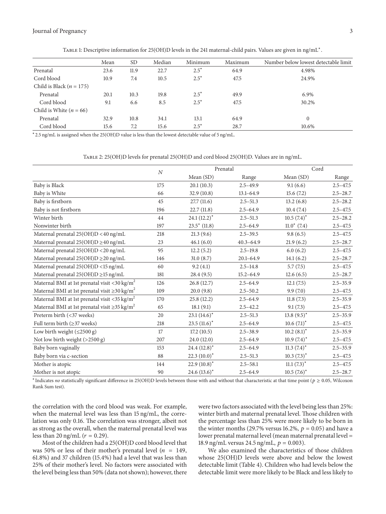|                              | Mean | <b>SD</b> | Median | Minimum | Maximum | Number below lowest detectable limit |
|------------------------------|------|-----------|--------|---------|---------|--------------------------------------|
| Prenatal                     | 23.6 | 11.9      | 22.7   | $2.5^*$ | 64.9    | 4.98%                                |
| Cord blood                   | 10.9 | 7.4       | 10.5   | $2.5^*$ | 47.5    | 24.9%                                |
| Child is Black ( $n = 175$ ) |      |           |        |         |         |                                      |
| Prenatal                     | 20.1 | 10.3      | 19.8   | $2.5^*$ | 49.9    | 6.9%                                 |
| Cord blood                   | 9.1  | 6.6       | 8.5    | $2.5^*$ | 47.5    | 30.2%                                |
| Child is White $(n = 66)$    |      |           |        |         |         |                                      |
| Prenatal                     | 32.9 | 10.8      | 34.1   | 13.1    | 64.9    | $\mathbf{0}$                         |
| Cord blood                   | 15.6 | 7.2       | 15.6   | $2.5^*$ | 28.7    | 10.6%                                |

Table 1: Descriptive information for 25(OH)D levels in the 241 maternal-child pairs. Values are given in ng/mL<sup>∗</sup>.

<sup>∗</sup>2.5 ng/mL is assigned when the 25(OH)D value is less than the lowest detectable value of 5 ng/mL.

#### Table 2: 25(OH)D levels for prenatal 25(OH)D and cord blood 25(OH)D. Values are in ng/mL.

|                                                                |          | Prenatal        |               | Cord            |              |
|----------------------------------------------------------------|----------|-----------------|---------------|-----------------|--------------|
|                                                                | $\cal N$ | Mean (SD)       | Range         | Mean (SD)       | Range        |
| Baby is Black                                                  | 175      | 20.1(10.3)      | $2.5 - 49.9$  | 9.1(6.6)        | $2.5 - 47.5$ |
| Baby is White                                                  | 66       | 32.9(10.8)      | $13.1 - 64.9$ | 15.6(7.2)       | $2.5 - 28.7$ |
| Baby is firstborn                                              | 45       | 27.7(11.6)      | $2.5 - 51.3$  | 13.2(6.8)       | $2.5 - 28.2$ |
| Baby is not firstborn                                          | 196      | 22.7(11.8)      | $2.5 - 64.9$  | 10.4(7.4)       | $2.5 - 47.5$ |
| Winter birth                                                   | 44       | $24.1 (12.2)^*$ | $2.5 - 51.3$  | $10.5(7.4)^*$   | $2.5 - 28.2$ |
| Nonwinter birth                                                | 197      | $23.5^*$ (11.8) | $2.5 - 64.9$  | $11.0^*$ (7.4)  | $2.5 - 47.5$ |
| Maternal prenatal 25(OH)D <40 ng/mL                            | 218      | 21.3(9.6)       | $2.5 - 39.5$  | 9.8(6.5)        | $2.5 - 47.5$ |
| Maternal prenatal $25(OH)D \geq 40$ ng/mL                      | 23       | 46.1(6.0)       | $40.3 - 64.9$ | 21.9(6.2)       | $2.5 - 28.7$ |
| Maternal prenatal 25(OH)D <20 ng/mL                            | 95       | 12.2(5.2)       | $2.5 - 19.8$  | 6.0(6.2)        | $2.5 - 47.5$ |
| Maternal prenatal 25(OH)D ≥20 ng/mL                            | 146      | 31.0(8.7)       | $20.1 - 64.9$ | 14.1(6.2)       | $2.5 - 28.7$ |
| Maternal prenatal 25(OH)D <15 ng/mL                            | 60       | 9.2(4.1)        | $2.5 - 14.8$  | 5.7(7.5)        | $2.5 - 47.5$ |
| Maternal prenatal $25(OH)D \ge 15$ ng/mL                       | 181      | 28.4(9.5)       | $15.2 - 64.9$ | 12.6(6.5)       | $2.5 - 28.7$ |
| Maternal BMI at 1st prenatal visit <30 kg/m <sup>2</sup>       | 126      | 26.8(12.7)      | $2.5 - 64.9$  | 12.1(7.5)       | $2.5 - 35.9$ |
| Maternal BMI at 1st prenatal visit $\geq$ 30 kg/m <sup>2</sup> | 109      | 20.0(9.8)       | $2.5 - 50.2$  | 9.9(7.0)        | $2.5 - 47.5$ |
| Maternal BMI at 1st prenatal visit <35 kg/m <sup>2</sup>       | 170      | 25.8(12.2)      | $2.5 - 64.9$  | 11.8(7.3)       | $2.5 - 35.9$ |
| Maternal BMI at 1st prenatal visit $\geq$ 35 kg/m <sup>2</sup> | 65       | 18.1(9.1)       | $2.5 - 42.2$  | 9.1(7.3)        | $2.5 - 47.5$ |
| Preterm birth (<37 weeks)                                      | 20       | $23.1(14.6)^*$  | $2.5 - 51.3$  | $13.8(9.5)^{*}$ | $2.5 - 35.9$ |
| Full term birth $(\geq 37$ weeks)                              | 218      | $23.5(11.6)^*$  | $2.5 - 64.9$  | $10.6(7.1)^*$   | $2.5 - 47.5$ |
| Low birth weight $(\leq 2500 \text{ g})$                       | 17       | 17.2(10.5)      | $2.5 - 38.9$  | $10.2 (8.1)^*$  | $2.5 - 35.9$ |
| Not low birth weight (>2500 g)                                 | 207      | 24.0 (12.0)     | $2.5 - 64.9$  | $10.9(7.4)^*$   | $2.5 - 47.5$ |
| Baby born vaginally                                            | 153      | $24.4 (12.8)^*$ | $2.5 - 64.9$  | $11.3 (7.4)^*$  | $2.5 - 35.9$ |
| Baby born via c-section                                        | 88       | $22.3(10.0)^*$  | $2.5 - 51.3$  | $10.3(7.3)^*$   | $2.5 - 47.5$ |
| Mother is atopic                                               | 144      | 22.9 $(10.8)^*$ | $2.5 - 58.1$  | $11.1(7.3)^*$   | $2.5 - 47.5$ |
| Mother is not atopic                                           | 90       | 24.6 $(13.6)^*$ | $2.5 - 64.9$  | $10.5(7.6)^*$   | $2.5 - 28.7$ |

\* Indicates no statistically significant difference in 25(OH)D levels between those with and without that characteristic at that time point ( $p \ge 0.05$ , Wilcoxon Rank Sum test).

the correlation with the cord blood was weak. For example, when the maternal level was less than 15 ng/mL, the correlation was only 0.16. The correlation was stronger, albeit not as strong as the overall, when the maternal prenatal level was less than 20 ng/mL ( $r = 0.29$ ).

Most of the children had a 25(OH)D cord blood level that was 50% or less of their mother's prenatal level ( $n = 149$ , 61.8%) and 37 children (15.4%) had a level that was less than 25% of their mother's level. No factors were associated with the level being less than 50% (data not shown); however, there

were two factors associated with the level being less than 25%: winter birth and maternal prenatal level. Those children with the percentage less than 25% were more likely to be born in the winter months (29.7% versus 16.2%,  $p = 0.05$ ) and have a lower prenatal maternal level (mean maternal prenatal level = 18.9 ng/mL versus 24.5 ng/mL,  $p = 0.003$ ).

We also examined the characteristics of those children whose 25(OH)D levels were above and below the lowest detectable limit (Table 4). Children who had levels below the detectable limit were more likely to be Black and less likely to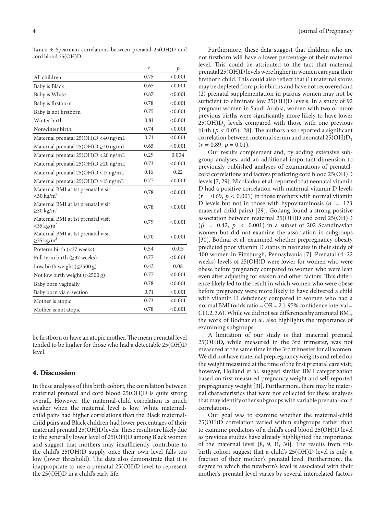Table 3: Spearman correlations between prenatal 25(OH)D and cord blood 25(OH)D.

|                                                                   | r    | $\mathcal{P}$ |
|-------------------------------------------------------------------|------|---------------|
| All children                                                      | 0.75 | < 0.001       |
| Baby is Black                                                     | 0.65 | < 0.001       |
| Baby is White                                                     | 0.87 | < 0.001       |
| Baby is firstborn                                                 | 0.78 | < 0.001       |
| Baby is not firstborn                                             | 0.75 | < 0.001       |
| Winter birth                                                      | 0.81 | < 0.001       |
| Nonwinter birth                                                   | 0.74 | < 0.001       |
| Maternal prenatal 25(OH)D <40 ng/mL                               | 0.71 | < 0.001       |
| Maternal prenatal $25(OH)D \geq 40$ ng/mL                         | 0.65 | < 0.001       |
| Maternal prenatal 25(OH)D <20 ng/mL                               | 0.29 | 0.004         |
| Maternal prenatal $25(OH)D \ge 20$ ng/mL                          | 0.73 | < 0.001       |
| Maternal prenatal 25(OH)D <15 ng/mL                               | 0.16 | 0.22          |
| Maternal prenatal $25(OH)D \ge 15$ ng/mL                          | 0.77 | < 0.001       |
| Maternal BMI at 1st prenatal visit<br>$<$ 30 kg/m <sup>2</sup>    | 0.78 | < 0.001       |
| Maternal BMI at 1st prenatal visit<br>$\geq$ 30 kg/m <sup>2</sup> | 0.78 | < 0.001       |
| Maternal BMI at 1st prenatal visit<br>$<$ 35 kg/m <sup>2</sup>    | 0.79 | < 0.001       |
| Maternal BMI at 1st prenatal visit<br>$\geq$ 35 kg/m <sup>2</sup> | 0.70 | < 0.001       |
| Preterm birth (<37 weeks)                                         | 0.54 | 0.015         |
| Full term birth $(\geq 37$ weeks)                                 | 0.77 | < 0.001       |
| Low birth weight $(\leq 2500 \text{ g})$                          | 0.43 | 0.08          |
| Not low birth weight $(>2500 g)$                                  | 0.77 | < 0.001       |
| Baby born vaginally                                               | 0.78 | < 0.001       |
| Baby born via c-section                                           | 0.71 | < 0.001       |
| Mother is atopic                                                  | 0.73 | < 0.001       |
| Mother is not atopic                                              | 0.78 | < 0.001       |
|                                                                   |      |               |

be firstborn or have an atopic mother. The mean prenatal level tended to be higher for those who had a detectable 25(OH)D level.

#### **4. Discussion**

In these analyses of this birth cohort, the correlation between maternal prenatal and cord blood 25(OH)D is quite strong overall. However, the maternal-child correlation is much weaker when the maternal level is low. White maternalchild pairs had higher correlations than the Black maternalchild pairs and Black children had lower percentages of their maternal prenatal 25(OH)D levels.These results are likely due to the generally lower level of 25(OH)D among Black women and suggest that mothers may insufficiently contribute to the child's 25(OH)D supply once their own level falls too low (lower threshold). The data also demonstrate that it is inappropriate to use a prenatal 25(OH)D level to represent the 25(OH)D in a child's early life.

Furthermore, these data suggest that children who are not firstborn will have a lower percentage of their maternal level. This could be attributed to the fact that maternal prenatal 25(OH)D levels were higher in women carrying their firstborn child. This could also reflect that (1) maternal stores may be depleted from prior births and have not recovered and (2) prenatal supplementation in parous women may not be sufficient to eliminate low 25(OH)D levels. In a study of 92 pregnant women in Saudi Arabia, women with two or more previous births were significantly more likely to have lower  $25(OH)D<sub>3</sub>$  levels compared with those with one previous birth ( $p < 0.05$ ) [28]. The authors also reported a significant correlation between maternal serum and neonatal  $25(OH)D_3$  $(r = 0.89, p = 0.01).$ 

Our results complement and, by adding extensive subgroup analyses, add an additional important dimension to previously published analyses of examinations of prenatalcord correlations and factors predicting cord blood 25(OH)D levels [7, 29]. Nicolaidou et al. reported that neonatal vitamin D had a positive correlation with maternal vitamin D levels  $(r = 0.69, p < 0.001)$  in those mothers with normal vitamin D levels but not in those with hypovitaminosis  $(n = 123)$ maternal-child pairs) [29]. Godang found a strong positive association between maternal 25(OH)D and cord 25(OH)D  $(\beta = 0.42, p < 0.001)$  in a subset of 202 Scandinavian women but did not examine the association in subgroups [30]. Bodnar et al. examined whether prepregnancy obesity predicted poor vitamin D status in neonates in their study of 400 women in Pittsburgh, Pennsylvania [7]. Prenatal (4–22 weeks) levels of 25(OH)D were lower for women who were obese before pregnancy compared to women who were lean even after adjusting for season and other factors. This difference likely led to the result in which women who were obese before pregnancy were more likely to have delivered a child with vitamin D deficiency compared to women who had a normal BMI (odds ratio = OR = 2.1, 95% confidence interval = CI 1.2, 3.6).While we did not see differences by antenatal BMI, the work of Bodnar et al. also highlights the importance of examining subgroups.

A limitation of our study is that maternal prenatal 25(OH)D, while measured in the 3rd trimester, was not measured at the same time in the 3rd trimester for all women. We did not have maternal prepregnancy weights and relied on the weight measured at the time of the first prenatal care visit; however, Holland et al. suggest similar BMI categorization based on first measured pregnancy weight and self-reported prepregnancy weight [31]. Furthermore, there may be maternal characteristics that were not collected for these analyses that may identify other subgroups with variable prenatal-cord correlations.

Our goal was to examine whether the maternal-child 25(OH)D correlation varied within subgroups rather than to examine predictors of a child's cord blood 25(OH)D level as previous studies have already highlighted the importance of the maternal level [8, 9, 11, 30]. The results from this birth cohort suggest that a child's 25(OH)D level is only a fraction of their mother's prenatal level. Furthermore, the degree to which the newborn's level is associated with their mother's prenatal level varies by several interrelated factors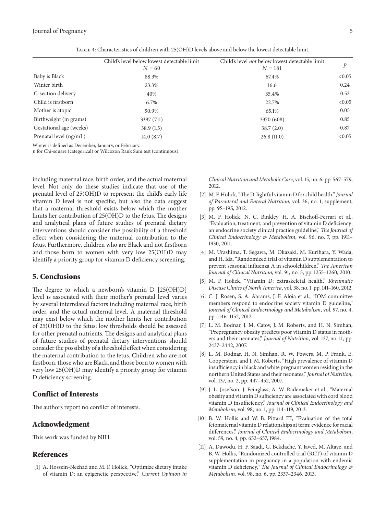|                         | Child's level below lowest detectable limit<br>$N = 60$ | Child's level not below lowest detectable limit<br>$N = 181$ |        |
|-------------------------|---------------------------------------------------------|--------------------------------------------------------------|--------|
| Baby is Black           | 88.3%                                                   | 67.4%                                                        | < 0.05 |
| Winter birth            | 23.3%                                                   | 16.6                                                         | 0.24   |
| C-section delivery      | 40%                                                     | 35.4%                                                        | 0.52   |
| Child is firstborn      | 6.7%                                                    | 22.7%                                                        | < 0.05 |
| Mother is atopic        | 50.9%                                                   | 65.1%                                                        | 0.05   |
| Birthweight (in grams)  | 3397 (711)                                              | 3370 (608)                                                   | 0.85   |
| Gestational age (weeks) | 38.9(1.5)                                               | 38.7(2.0)                                                    | 0.87   |
| Prenatal level (ng/mL)  | 14.0(8.7)                                               | 26.8(11.0)                                                   | < 0.05 |

Table 4: Characteristics of children with 25(OH)D levels above and below the lowest detectable limit.

Winter is defined as December, January, or February.

 $p$  for Chi-square (categorical) or Wilcoxon Rank Sum test (continuous).

including maternal race, birth order, and the actual maternal level. Not only do these studies indicate that use of the prenatal level of 25(OH)D to represent the child's early life vitamin D level is not specific, but also the data suggest that a maternal threshold exists below which the mother limits her contribution of 25(OH)D to the fetus. The designs and analytical plans of future studies of prenatal dietary interventions should consider the possibility of a threshold effect when considering the maternal contribution to the fetus. Furthermore, children who are Black and not firstborn and those born to women with very low 25(OH)D may identify a priority group for vitamin D deficiency screening.

#### **5. Conclusions**

The degree to which a newborn's vitamin D [25(OH)D] level is associated with their mother's prenatal level varies by several interrelated factors including maternal race, birth order, and the actual maternal level. A maternal threshold may exist below which the mother limits her contribution of 25(OH)D to the fetus; low thresholds should be assessed for other prenatal nutrients. The designs and analytical plans of future studies of prenatal dietary interventions should consider the possibility of a threshold effect when considering the maternal contribution to the fetus. Children who are not firstborn, those who are Black, and those born to women with very low 25(OH)D may identify a priority group for vitamin D deficiency screening.

#### **Conflict of Interests**

The authors report no conflict of interests.

#### **Acknowledgment**

This work was funded by NIH.

#### **References**

[1] A. Hossein-Nezhad and M. F. Holick, "Optimize dietary intake of vitamin D: an epigenetic perspective," *Current Opinion in* *Clinical Nutrition and Metabolic Care*, vol. 15, no. 6, pp. 567–579, 2012.

- [2] M. F. Holick, "The D-lightful vitamin D for child health," *Journal of Parenteral and Enteral Nutrition*, vol. 36, no. 1, supplement, pp. 9S–19S, 2012.
- [3] M. F. Holick, N. C. Binkley, H. A. Bischoff-Ferrari et al., "Evaluation, treatment, and prevention of vitamin D deficiency: an endocrine society clinical practice guideline," *The Journal of Clinical Endocrinology & Metabolism*, vol. 96, no. 7, pp. 1911– 1930, 2011.
- [4] M. Urashima, T. Segawa, M. Okazaki, M. Kurihara, Y. Wada, and H. Ida, "Randomized trial of vitamin D supplementation to prevent seasonal influenza A in schoolchildren," *The American Journal of Clinical Nutrition*, vol. 91, no. 5, pp. 1255–1260, 2010.
- [5] M. F. Holick, "Vitamin D: extraskeletal health," *Rheumatic Disease Clinics of North America*, vol. 38, no. 1, pp. 141–160, 2012.
- [6] C. J. Rosen, S. A. Abrams, J. F. Aloia et al., "IOM committee members respond to endocrine society vitamin D guideline," *Journal of Clinical Endocrinology and Metabolism*, vol. 97, no. 4, pp. 1146–1152, 2012.
- [7] L. M. Bodnar, J. M. Catov, J. M. Roberts, and H. N. Simhan, "Prepregnancy obesity predicts poor vitamin D status in mothers and their neonates," *Journal of Nutrition*, vol. 137, no. 11, pp. 2437–2442, 2007.
- [8] L. M. Bodnar, H. N. Simhan, R. W. Powers, M. P. Frank, E. Cooperstein, and J. M. Roberts, "High prevalence of vitamin D insufficiency in black and white pregnant women residing in the northern United States and their neonates," *Journal of Nutrition*, vol. 137, no. 2, pp. 447–452, 2007.
- [9] J. L. Josefson, J. Feinglass, A. W. Rademaker et al., "Maternal obesity and vitamin D sufficiency are associated with cord blood vitamin D insufficiency," *Journal of Clinical Endocrinology and Metabolism*, vol. 98, no. 1, pp. 114–119, 2013.
- [10] B. W. Hollis and W. B. Pittard III, "Evaluation of the total fetomaternal vitamin D relationships at term: evidence for racial differences," *Journal of Clinical Endocrinology and Metabolism*, vol. 59, no. 4, pp. 652–657, 1984.
- [11] A. Dawodu, H. F. Saadi, G. Bekdache, Y. Javed, M. Altaye, and B. W. Hollis, "Randomized controlled trial (RCT) of vitamin D supplementation in pregnancy in a population with endemic vitamin D deficiency," *The Journal of Clinical Endocrinology & Metabolism*, vol. 98, no. 6, pp. 2337–2346, 2013.